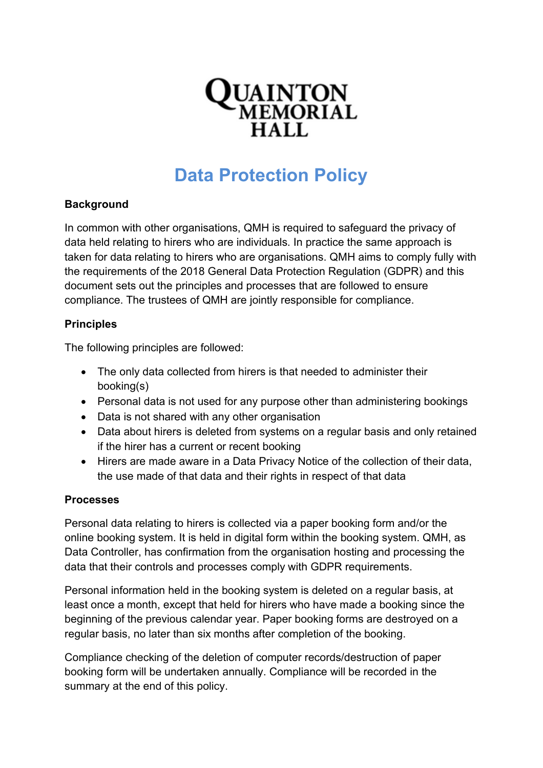

# **Data Protection Policy**

# **Background**

In common with other organisations, QMH is required to safeguard the privacy of data held relating to hirers who are individuals. In practice the same approach is taken for data relating to hirers who are organisations. QMH aims to comply fully with the requirements of the 2018 General Data Protection Regulation (GDPR) and this document sets out the principles and processes that are followed to ensure compliance. The trustees of QMH are jointly responsible for compliance.

# **Principles**

The following principles are followed:

- The only data collected from hirers is that needed to administer their booking(s)
- Personal data is not used for any purpose other than administering bookings
- Data is not shared with any other organisation
- Data about hirers is deleted from systems on a regular basis and only retained if the hirer has a current or recent booking
- Hirers are made aware in a Data Privacy Notice of the collection of their data, the use made of that data and their rights in respect of that data

## **Processes**

Personal data relating to hirers is collected via a paper booking form and/or the online booking system. It is held in digital form within the booking system. QMH, as Data Controller, has confirmation from the organisation hosting and processing the data that their controls and processes comply with GDPR requirements.

Personal information held in the booking system is deleted on a regular basis, at least once a month, except that held for hirers who have made a booking since the beginning of the previous calendar year. Paper booking forms are destroyed on a regular basis, no later than six months after completion of the booking.

Compliance checking of the deletion of computer records/destruction of paper booking form will be undertaken annually. Compliance will be recorded in the summary at the end of this policy.